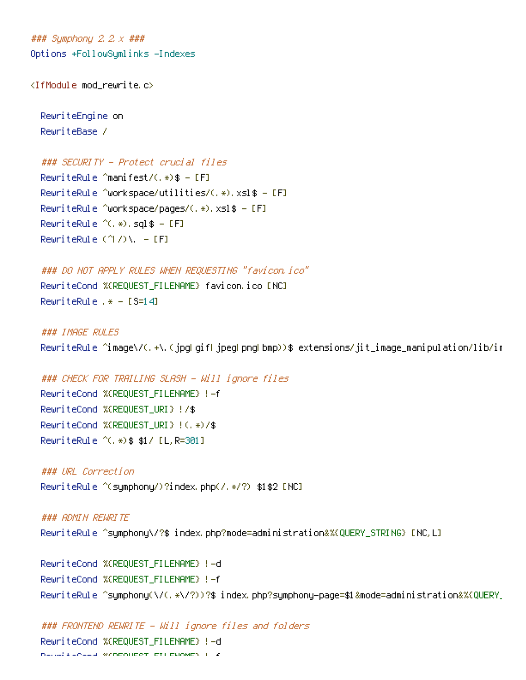### Symphony 2.2.x ### Options +FollowSymlinks -Indexes

<IfModule mod\_rewrite.c>

RewriteEngine on RewriteBase /

```
### SECURITY - Protect crucial files
```
RewriteRule ^manifest/(.\*)\$ - [F] RewriteRule ^workspace/utilities/(,  $*)$ , xsl\$ - [F] RewriteRule ^workspace/pages/(.\*).xsl\$ - [F] RewriteRule  $^{\wedge}$ (.\*).sql\$ - [F] RewriteRule  $(^\wedge\! I/\rangle\Lambda$ . - [F]

### DO NOT APPLY RULES WHEN REQUESTING "favicon.ico" RewriteCond %{REQUEST\_FILENAME} favicon.ico [NC] RewriteRule .\* - [S=14]

### IMAGE RULES RewriteRule ^image\/(.+\.(jpg|gif|jpeg|png|bmp))\$ extensions/jit\_image\_manipulation/lib/im

### CHECK FOR TRAILING SLASH - Will ignore files RewriteCond %{REQUEST\_FILENAME} !-f RewriteCond %{REQUEST\_URI} !/\$ RewriteCond %{REQUEST\_URI} !(.\*)/\$ RewriteRule ^(.\*)\$ \$1/ [L,R=301]

### URL Correction RewriteRule ^(symphony/)?index.php(/.\*/?) \$1\$2 [NC]

### ADMIN REWRITE RewriteRule ^symphony\/?\$ index.php?mode=administration&%{QUERY\_STRING} [NC,L]

RewriteCond %{REQUEST\_FILENAME} !-d RewriteCond %{REQUEST\_FILENAME} !-f RewriteRule ^symphony(\/(.\*\/?))?\$ index.php?symphony-page=\$1&mode=administration&%{QUERY\_

### FRONTEND REWRITE - Will ignore files and folders RewriteCond %{REQUEST\_FILENAME} !-d Reveal a speed wandouder of Conduct 1 - f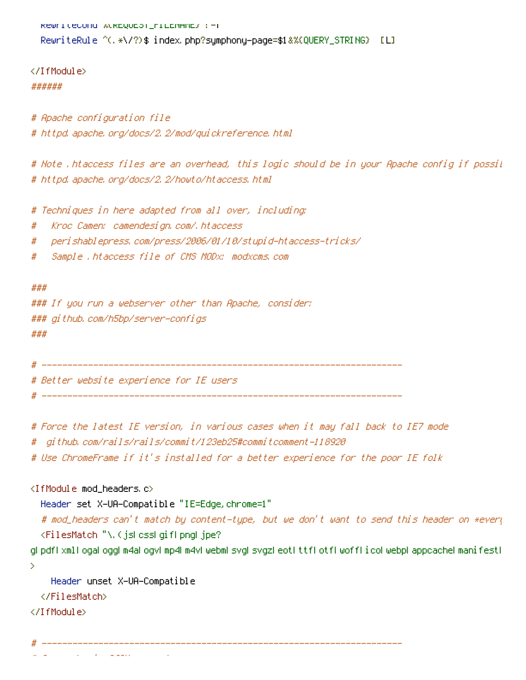```
RewriteCond %\REQUEST_FILENHME} !- T
RewriteRule ^(.*\/?)$ index.php?symphony-page=$1&%{QUERY_STRING} [L]
```
</IfModule> ######

# Apache configuration file # httpd.apache.org/docs/2.2/mod/quickreference.html

# Note .htaccess files are an overhead, this logic should be in your Apache config if possible # httpd.apache.org/docs/2.2/howto/htaccess.html

# Techniques in here adapted from all over, including:

- # Kroc Camen: camendesign.com/.htaccess
- # perishablepress.com/press/2006/01/10/stupid-htaccess-tricks/
- # Sample .htaccess file of CMS MODx: modxcms.com

###

### If you run <sup>a</sup> webserver other than Apache, consider: ### github.com/h5bp/server-configs ###

# ----------------------------------------------------------------------

# ----------------------------------------------------------------------

# Better website experience for IE users

# Force the latest IE version, in various cases when it may fall back to IE7 mode

# github.com/rails/rails/commit/123eb25#commitcomment-118920

# Use ChromeFrame if it's installed for <sup>a</sup> better experience for the poor IE folk

<IfModule mod\_headers.c>

Header set X-UA-Compatible "IE=Edge,chrome=1"

# mod\_headers can't match by content-type, but we don't want to send this header on \*every <FilesMatch "\.(js|css|gif|png|jpe?

g|pdf|xml|oga|ogg|m4a|ogv|mp4|m4v|webm|svg|svgz|eot|ttf|otf|woff|ico|webp|appcache|manifest| >

Header unset X-UA-Compatible </FilesMatch>

</IfModule>

# ----------------------------------------------------------------------

# Cross-domain AJAX requests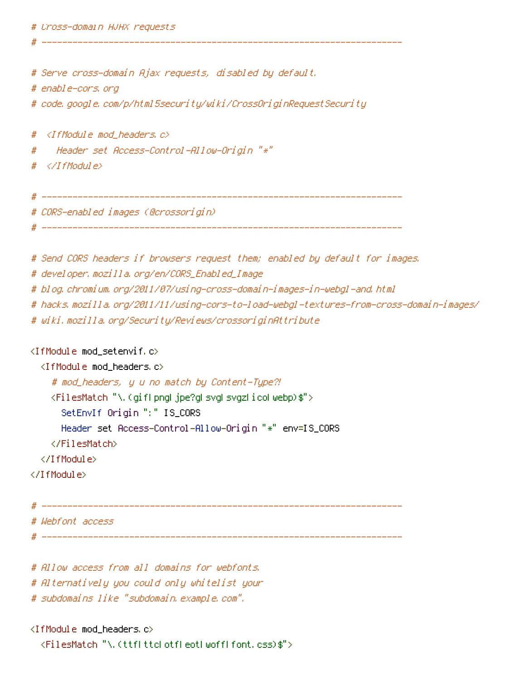# Serve cross-domain Ajax requests, disabled by default.

# enable-cors.org

# code.google.com/p/html5security/wiki/CrossOriginRequestSecurity

# ----------------------------------------------------------------------

# <IfModule mod\_headers.c>

# Header set Access-Control-Allow-Origin "\*"

# </IfModule>

# ----------------------------------------------------------------------

# CORS-enabled images (@crossorigin)

# ----------------------------------------------------------------------

# Send CORS headers if browsers request them; enabled by default for images.

# developer.mozilla.org/en/CORS\_Enabled\_Image

# blog.chromium.org/2011/07/using-cross-domain-images-in-webgl-and.html

# hacks.mozilla.org/2011/11/using-cors-to-load-webgl-textures-from-cross-domain-images/

# wiki.mozilla.org/Security/Reviews/crossoriginAttribute

<IfModule mod\_setenvif.c>

<IfModule mod\_headers.c>

# mod\_headers, y <sup>u</sup> no match by Content-Type?!

<FilesMatch "\.(gif|png|jpe?g|svg|svgz|ico|webp)\$">

SetEnvIf Origin ":" IS\_CORS

Header set Access-Control-Allow-Origin "\*" env=IS\_CORS

</FilesMatch>

</IfModule>

</IfModule>

# ----------------------------------------------------------------------

# Webfont access

# ----------------------------------------------------------------------

# Allow access from all domains for webfonts.

# Alternatively you could only whitelist your

# subdomains like "subdomain.example.com".

<IfModule mod\_headers.c>

<FilesMatch "\.(ttf|ttc|otf|eot|woff|font.css)\$">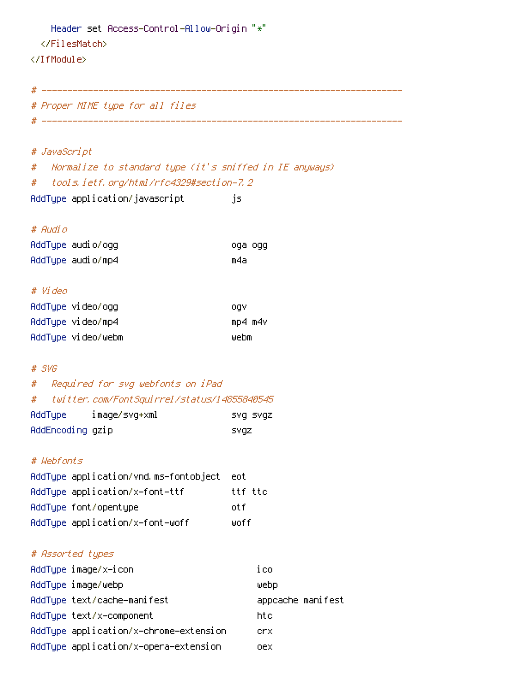```
Header set Access-Control-Allow-Origin "*"
  </FilesMatch>
</IfModule>
```
# ----------------------------------------------------------------------

# Proper MIME type for all files # ----------------------------------------------------------------------

### # JavaScript

# Normalize to standard type (it's sniffed in IE anyways) # tools.ietf.org/html/rfc4329#section-7.2

AddType application/javascript js

### # Audio

| AddType audio/ogg | oga ogg |  |
|-------------------|---------|--|
| AddType audio/mp4 | m4a     |  |

#### # Video

| AddType video/ogg  | oav     |
|--------------------|---------|
| AddType video/mp4  | mp4 m4v |
| AddTupe video/webm | webm    |

### # SVG

# # Required for svg webfonts on iPad # twitter.com/FontSquirrel/status/14855840545 AddType image/svg+xml svg svgz

| наат урет        | image/svg+xml | svg svgz    |
|------------------|---------------|-------------|
| AddEncoding gzip |               | <b>SVQZ</b> |

## # Webfonts

| AddType application/vnd.ms-fontobject eot |         |
|-------------------------------------------|---------|
| AddTupe application/x-font-ttf            | ttf ttc |
| AddType font/opentype                     | nt fi   |
| AddType application/x-font-woff           | liinf f |

### # Assorted types

| AddType image/x-icon                   | ico               |
|----------------------------------------|-------------------|
| AddTupe image/webp                     | webp              |
| AddType text/cache-manifest            | appcache manifest |
| AddTupe text/x-component               | htc               |
| AddType application/x-chrome-extension | crx.              |
| AddType application/x-opera-extension  | oex               |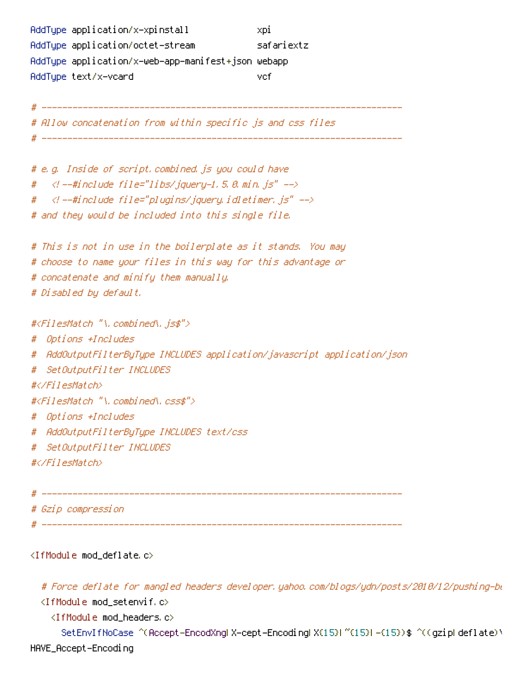AddType application/x-xpinstall xpi AddType application/octet-stream safariextz AddType application/x-web-app-manifest+json webapp AddType text/x-vcard vcf

# ---------------------------------------------------------------------- # Allow concatenation from within specific js and css files # -------------------------------# e.g. Inside of script.combined.js you could have #  $\langle$  --#include file="libs/jquery-1.5.0.min.js" --> # <!--#include file="plugins/jquery.idletimer.js" --> # and they would be included into this single file. # This is not in use in the boilerplate as it stands. You may # choose to name your files in this way for this advantage or # concatenate and minify them manually. # Disabled by default. #<FilesMatch "\.combined\.js\$"> # Options +Includes # AddOutputFilterByType INCLUDES application/javascript application/json # SetOutputFilter INCLUDES #</FilesMatch> #<FilesMatch "\.combined\.css\$"> # Options +Includes # AddOutputFilterByType INCLUDES text/css # SetOutputFilter INCLUDES #</FilesMatch>

# ---------------------------------------------------------------------- # Gzip compression # ----------------------------------------------------------------------

<IfModule mod\_deflate.c>

# Force deflate for mangled headers developer.yahoo.com/blogs/ydn/posts/2010/12/pushing-be

<IfModule mod\_setenvif.c>

<IfModule mod\_headers.c>

SetEnvIfNoCase ^(Accept-EncodXngLX-cept-EncodingLX{15}L~{15}L-{15})\$ ^((gzipLdeflate)\ HAVE\_Accept-Encoding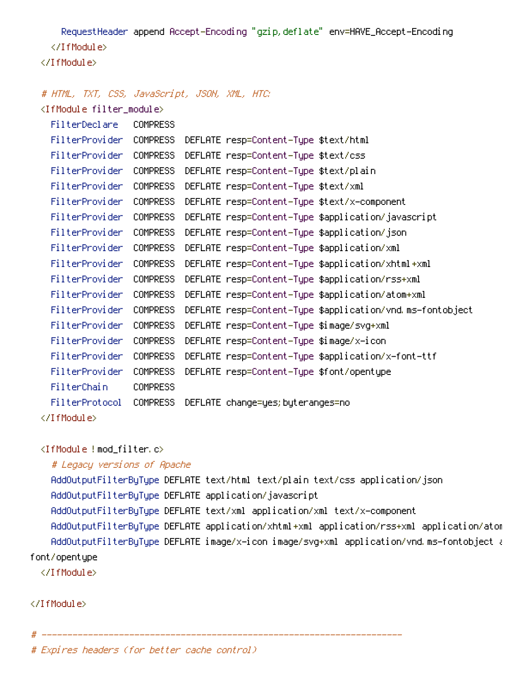RequestHeader append Accept-Encoding "gzip,deflate" env=HAVE\_Accept-Encoding </IfModule> </IfModule>

### # HTML, TXT, CSS, JavaScript, JSON, XML, HTC:

<IfModule filter\_module>

| FilterDeclare    | <b>COMPRESS</b> |                                                           |
|------------------|-----------------|-----------------------------------------------------------|
|                  |                 |                                                           |
| FilterProvider I | COMPRESS        | DEFLATE resp=Content-Type \$text/html                     |
| FilterProvider   | COMPRESS        | DEFLATE resp=Content-Type \$text/css                      |
| FilterProvider   | COMPRESS        | DEFLATE resp=Content-Type \$text/plain                    |
| FilterProvider   | <b>COMPRESS</b> | DEFLATE resp=Content-Type \$text/xml                      |
| FilterProvider   | COMPRESS        | DEFLATE resp=Content-Type \$text/x-component              |
| FilterProvider   | <b>COMPRESS</b> | DEFLATE resp=Content–Type \$application/javascript        |
| FilterProvider   | <b>COMPRESS</b> | DEFLATE resp=Content-Type \$application/json              |
| FilterProvider   | COMPRESS        | DEFLATE resp=Content-Type \$application/xml               |
| FilterProvider   | <b>COMPRESS</b> | DEFLATE resp=Content-Type \$application/xhtml+xml         |
| FilterProvider   | COMPRESS        | DEFLATE resp=Content-Type \$application/rss+xml           |
| FilterProvider   | <b>COMPRESS</b> | DEFLATE resp=Content-Type \$application/atom+xml          |
| FilterProvider   | COMPRESS        | DEFLATE resp=Content-Type \$application/vnd.ms-fontobject |
| FilterProvider   | <b>COMPRESS</b> | DEFLATE resp=Content-Type \$image/svg+xml                 |
| FilterProvider   | <b>COMPRESS</b> | DEFLATE resp=Content-Type \$image/x-icon                  |
| FilterProvider   | <b>COMPRESS</b> | DEFLATE resp=Content-Type \$application/x-font-ttf        |
| FilterProvider   | <b>COMPRESS</b> | DEFLATE resp=Content-Type \$font/opentype                 |
| FilterChain      | <b>COMPRESS</b> |                                                           |
| FilterProtocol   | COMPRESS        | DEFLATE change=yes; byteranges=no                         |
|                  |                 |                                                           |

<IfModule !mod\_filter.c>

```
# Legacy versions of Apache
```
AddOutputFilterByType DEFLATE text/html text/plain text/css application/json AddOutputFilterByType DEFLATE application/javascript AddOutputFilterByType DEFLATE text/xml application/xml text/x-component AddOutputFilterByType DEFLATE application/xhtml+xml application/rss+xml application/atom AddOutputFilterByType DEFLATE image/x-icon image/svg+xml application/vnd.ms-fontobject application font/opentype

</IfModule>

</IfModule>

# ----------------------------------------------------------------------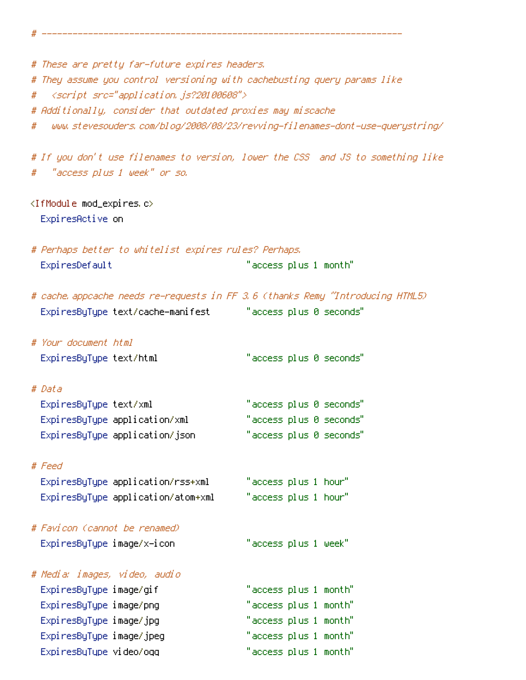# ----------------------------------------------------------------------

# These are pretty far-future expires headers. # They assume you control versioning with cachebusting query params like # <script src="application.js?20100608"> # Additionally, consider that outdated proxies may miscache # www.stevesouders.com/blog/2008/08/23/revving-filenames-dont-use-querystring/ # If you don't use filenames to version, lower the CSS and JS to something like # "access plus 1 week" or so. <IfModule mod\_expires.c> ExpiresActive on # Perhaps better to whitelist expires rules? Perhaps. ExpiresDefault "access plus 1 month" # cache.appcache needs re-requests in FF 3.6 (thanks Remy ~Introducing HTML5) ExpiresByType text/cache-manifest "access plus 0 seconds" # Your document html ExpiresByType text/html "access plus 0 seconds" # Data ExpiresByType text/xml "access plus 0 seconds" ExpiresByType application/xml "access plus 0 seconds" ExpiresByType application/json "access plus 0 seconds" # Feed ExpiresByType application/rss+xml "access plus 1 hour" ExpiresByType application/atom+xml "access plus 1 hour" # Favicon (cannot be renamed) ExpiresByType image/x-icon "access plus 1 week" # Media: images, video, audio ExpiresByType image/gif "access plus 1 month" ExpiresByType image/png "access plus 1 month" ExpiresByType image/jpg "access plus 1 month" ExpiresByType image/jpeg "access plus 1 month" ExpiresByType video/ogg "access plus 1 month"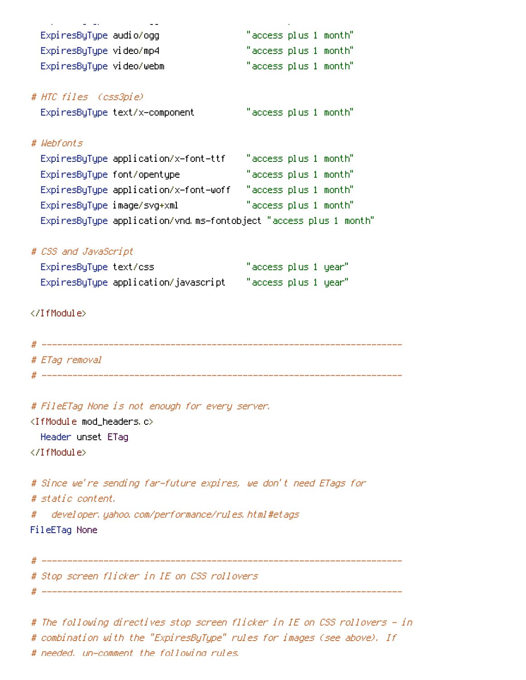ExpiresByType video/ogg "access plus 1 month"

# The following directives stop screen flicker in IE on CSS rollovers - in # combination with the "ExpiresByType" rules for images (see above). If # needed, un-comment the following rules.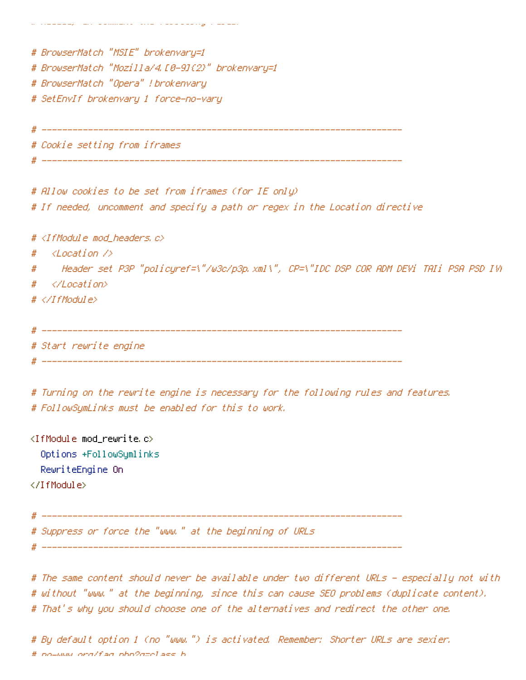| # BrowserMatch "MSIE" brokenvary=1                                                          |  |
|---------------------------------------------------------------------------------------------|--|
| # BrowserMatch "Mozilla/4.10-91(2)" brokenvary=1                                            |  |
| # BrowserMatch "Opera" ! brokenvary                                                         |  |
| # SetEnvIf brokenvary 1 force-no-vary                                                       |  |
|                                                                                             |  |
|                                                                                             |  |
| # Cookie setting from iframes                                                               |  |
|                                                                                             |  |
| # Allow cookies to be set from iframes (for IE only)                                        |  |
| # If needed, uncomment and specify a path or regex in the Location directive                |  |
| # <ifmodule mod_headers.c=""></ifmodule>                                                    |  |
| <location></location><br>#                                                                  |  |
| Header set P3P "policyref=\"/w3c/p3p.xml\", CP=\"IDC DSP COR ADM DEVi TAIi PSA PSD IVA<br># |  |
| <br>#                                                                                       |  |
| # $\langle$ /IfModule>                                                                      |  |
|                                                                                             |  |
|                                                                                             |  |
| # Start rewrite engine                                                                      |  |
|                                                                                             |  |
| # Turning on the rewrite engine is necessary for the following rules and features.          |  |
| # FollowSymLinks must be enabled for this to work.                                          |  |
|                                                                                             |  |

<IfModule mod\_rewrite.c> Options +FollowSymlinks RewriteEngine On </IfModule>

# ----------------------------------------------------------------------

# Suppress or force the "www." at the beginning of URLs

# needed, un-comment the following rules.

# ----------------------------------------------------------------------

# The same content should never be available under two different URLs - especially not with # without "www." at the beginning, since this can cause SEO problems (duplicate content). # That's why you should choose one of the alternatives and redirect the other one.

# By default option 1 (no "www.") is activated. Remember: Shorter URLs are sexier. # no-www.org/faq.php?q=class\_b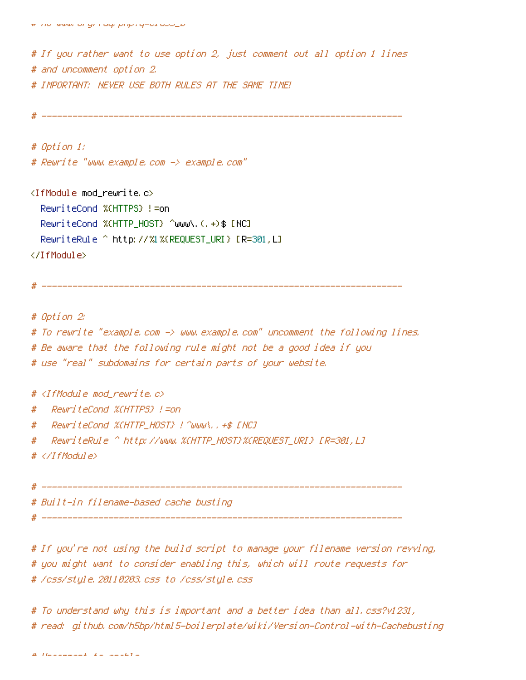# If you rather want to use option 2, just comment out all option 1 lines # and uncomment option 2. # IMPORTANT: NEVER USE BOTH RULES AT THE SAME TIME!

```
# ----------------------------------------------------------------------
```
# Option 1: # Rewrite "www.example.com -> example.com"

 $\triangleleft$ IfModule mod rewrite.c $>$ RewriteCond %{HTTPS} !=on RewriteCond %(HTTP\_HOST) ^www\.(.+)\$ [NC] RewriteRule ^ http://%1%{REQUEST\_URI} [R=301,L] </IfModule>

# ----------------------------------------------------------------------

# Option 2: # To rewrite "example.com -> www.example.com" uncomment the following lines. # Be aware that the following rule might not be <sup>a</sup> good idea if you # use "real" subdomains for certain parts of your website.

#  $\triangleleft$  fModule mod rewrite.c>

# RewriteCond %{HTTPS} !=on

- # RewriteCond %{HTTP\_HOST} !^www\..+\$ [NC]
- # RewriteRule ^ http://www.%{HTTP\_HOST}%{REQUEST\_URI} [R=301,L]

# </IfModule>

# ----------------------------------------------------------------------

# Built-in filename-based cache busting

# ----------------------------------------------------------------------

# If you're not using the build script to manage your filename version revving, # you might want to consider enabling this, which will route requests for # /css/style.20110203.css to /css/style.css

# To understand why this is important and <sup>a</sup> better idea than all.css?v1231, # read: github.com/h5bp/html5-boilerplate/wiki/Version-Control-with-Cachebusting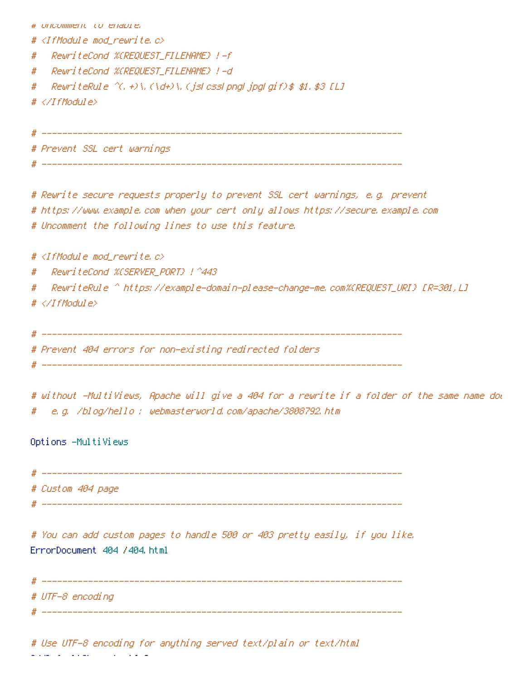| # UNCOMMENt to enable,                                                                                                            |  |
|-----------------------------------------------------------------------------------------------------------------------------------|--|
| # <ifmodule mod_rewrite.c=""></ifmodule>                                                                                          |  |
| RewriteCond %CREQUEST_FILENAME} !-f<br>#                                                                                          |  |
| RewriteCond %CREQUEST_FILENAME} !-d<br>#                                                                                          |  |
| ReuriteRule $\left\langle \left\langle \cdot,\cdot\right\rangle \right\rangle$ , (\d+)\, (jsLcssLpngLjpgLgif)\$ \$1, \$3 [L]<br># |  |
| # $\langle$ /IfModule>                                                                                                            |  |
|                                                                                                                                   |  |
|                                                                                                                                   |  |
| # Prevent SSL cert warnings                                                                                                       |  |
|                                                                                                                                   |  |
| # Rewrite secure requests properly to prevent SSL cert warnings, e.g. prevent                                                     |  |
| # https://www.example.com when your cert only allows https://secure.example.com                                                   |  |
| # Uncomment the following lines to use this feature.                                                                              |  |
| # <ifmodule mod_rewrite.c=""></ifmodule>                                                                                          |  |
| #                                                                                                                                 |  |
| #                                                                                                                                 |  |
| # $\langle$ /IfModule>                                                                                                            |  |
|                                                                                                                                   |  |
|                                                                                                                                   |  |
| # Prevent 404 errors for non-existing redirected folders                                                                          |  |
|                                                                                                                                   |  |
| # without -MultiViews, Apache will give a 404 for a rewrite if a folder of the same name dow                                      |  |
| e.g. /blog/hello : webmasterworld.com/apache/3808792.htm<br>#                                                                     |  |
|                                                                                                                                   |  |
| Options -MultiViews                                                                                                               |  |
|                                                                                                                                   |  |
|                                                                                                                                   |  |
| # Custom 404 page                                                                                                                 |  |

# Use UTF-8 encoding for anything served text/plain or text/html AddDefaultCharset utf-8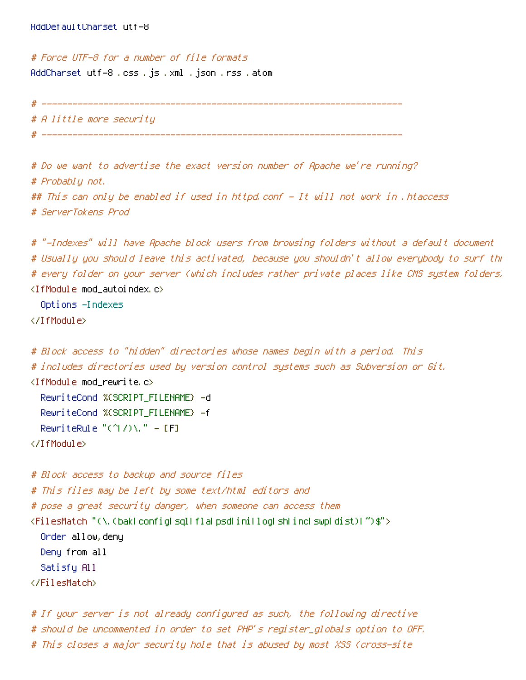# Force UTF-8 for <sup>a</sup> number of file formats AddCharset utf-8 .css .js .xml .json .rss .atom

# ---------------------------------------------------------------------- # A little more security

# ----------------------------------------------------------------------

# Do we want to advertise the exact version number of Apache we're running? # Probably not. ## This can only be enabled if used in httpd.conf - It will not work in .htaccess # ServerTokens Prod

# "-Indexes" will have Apache block users from browsing folders without <sup>a</sup> default document # Usually you should leave this activated, because you shouldn't allow everybody to surf through # every folder on your server (which includes rather private places like CMS system folders). <IfModule mod\_autoindex.c>

Options -Indexes

</IfModule>

```
# Block access to "hidden" directories whose names begin with a period. This
# includes directories used by version control systems such as Subversion or Git.
<IfModule mod_rewrite.c>
  RewriteCond %{SCRIPT_FILENAME} -d
  RewriteCond %{SCRIPT_FILENAME} -f
  RewriteRule "(^\circ\!\!\!\!\!\uparrow\!/\,) \setminus \ldots" - [F]
</IfModule>
```
# Block access to backup and source files # This files may be left by some text/html editors and # pose <sup>a</sup> great security danger, when someone can access them <FilesMatch "(\.(bak|config|sql|fla|psd|ini|log|sh|inc|swp|dist)|~)\$"> Order allow,deny Deny from all Satisfy All </FilesMatch>

# If your server is not already configured as such, the following directive # should be uncommented in order to set PHP's register\_globals option to OFF. # This closes <sup>a</sup> major security hole that is abused by most XSS (cross-site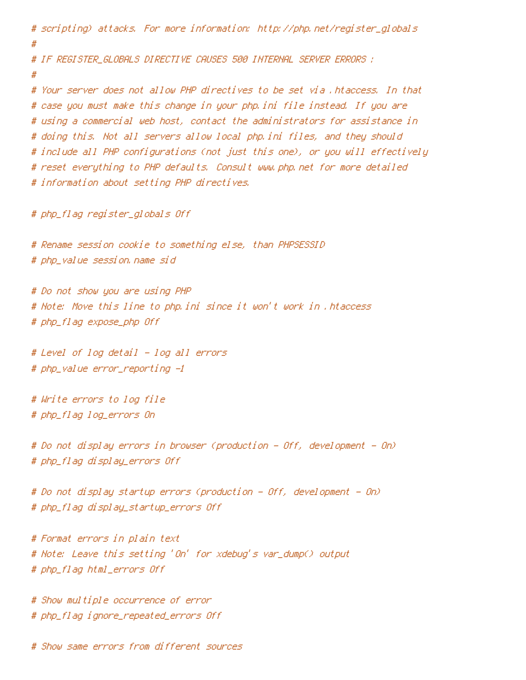# scripting) attacks. For more information: http://php.net/register\_globals # # IF REGISTER\_GLOBALS DIRECTIVE CAUSES 500 INTERNAL SERVER ERRORS : # # Your server does not allow PHP directives to be set via .htaccess. In that # case you must make this change in your php.ini file instead. If you are # using <sup>a</sup> commercial web host, contact the administrators for assistance in # doing this. Not all servers allow local php.ini files, and they should # include all PHP configurations (not just this one), or you will effectively # reset everything to PHP defaults. Consult www.php.net for more detailed # information about setting PHP directives. # php\_flag register\_globals Off # Rename session cookie to something else, than PHPSESSID # php\_value session.name sid # Do not show you are using PHP # Note: Move this line to php.ini since it won't work in .htaccess # php\_flag expose\_php Off # Level of log detail - log all errors # php\_value error\_reporting -1 # Write errors to log file # php\_flag log\_errors On # Do not display errors in browser (production - Off, development - On) # php\_flag display\_errors Off # Do not display startup errors (production - Off, development - On)

# php\_flag display\_startup\_errors Off

# Format errors in plain text # Note: Leave this setting 'On' for xdebug's var\_dump() output # php\_flag html\_errors Off

# Show multiple occurrence of error # php\_flag ignore\_repeated\_errors Off

# Show same errors from different sources